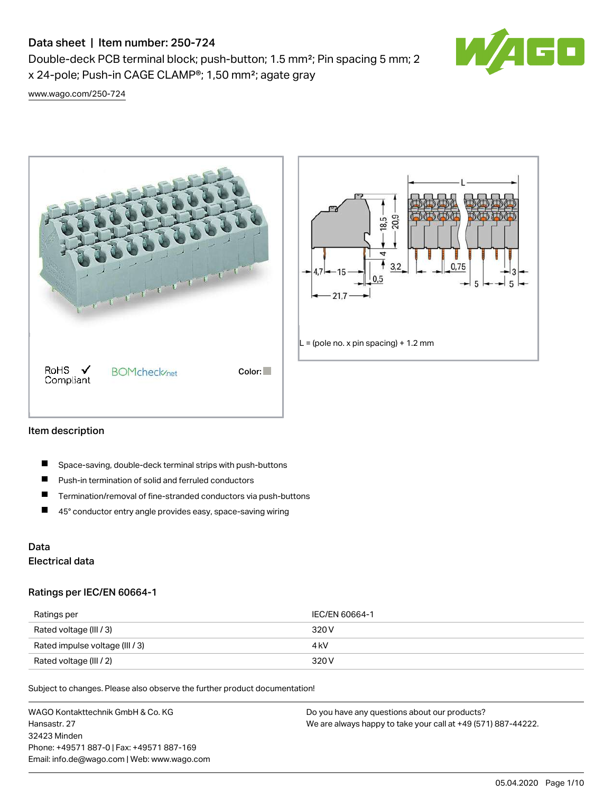Double-deck PCB terminal block; push-button; 1.5 mm²; Pin spacing 5 mm; 2 x 24-pole; Push-in CAGE CLAMP®; 1,50 mm²; agate gray



[www.wago.com/250-724](http://www.wago.com/250-724)





#### Item description

- П Space-saving, double-deck terminal strips with push-buttons
- $\blacksquare$ Push-in termination of solid and ferruled conductors
- $\blacksquare$ Termination/removal of fine-stranded conductors via push-buttons
- $\blacksquare$ 45° conductor entry angle provides easy, space-saving wiring

### Data Electrical data

#### Ratings per IEC/EN 60664-1

| Ratings per                     | IEC/EN 60664-1 |
|---------------------------------|----------------|
| Rated voltage (III / 3)         | 320 V          |
| Rated impulse voltage (III / 3) | 4 kV           |
| Rated voltage (III / 2)         | 320 V          |

Subject to changes. Please also observe the further product documentation!

WAGO Kontakttechnik GmbH & Co. KG Hansastr. 27 32423 Minden Phone: +49571 887-0 | Fax: +49571 887-169 Email: info.de@wago.com | Web: www.wago.com Do you have any questions about our products? We are always happy to take your call at +49 (571) 887-44222.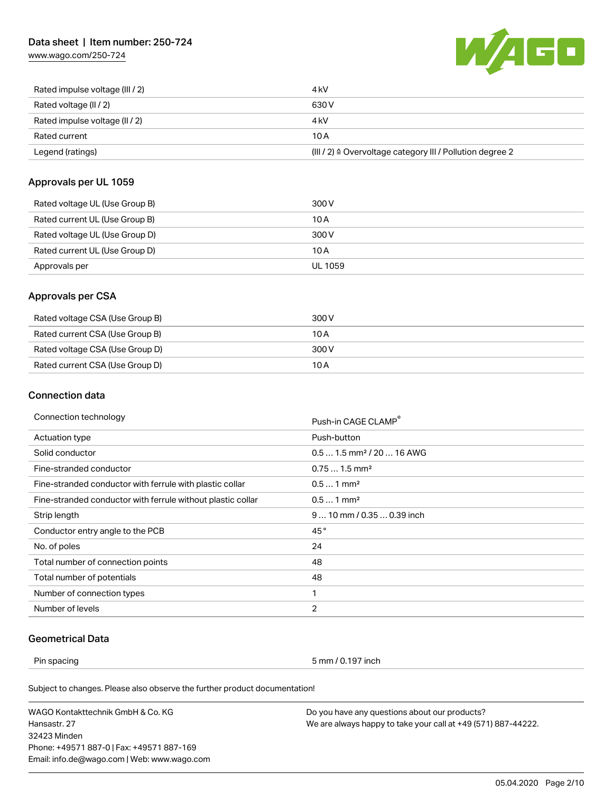[www.wago.com/250-724](http://www.wago.com/250-724)



| Rated impulse voltage (III / 2) | 4 kV                                                                 |
|---------------------------------|----------------------------------------------------------------------|
| Rated voltage (II / 2)          | 630 V                                                                |
| Rated impulse voltage (II / 2)  | 4 kV                                                                 |
| Rated current                   | 10 A                                                                 |
| Legend (ratings)                | (III / 2) $\triangleq$ Overvoltage category III / Pollution degree 2 |

### Approvals per UL 1059

| Rated voltage UL (Use Group B) | 300 V   |
|--------------------------------|---------|
| Rated current UL (Use Group B) | 10 A    |
| Rated voltage UL (Use Group D) | 300 V   |
| Rated current UL (Use Group D) | 10 A    |
| Approvals per                  | UL 1059 |

### Approvals per CSA

| Rated voltage CSA (Use Group B) | 300 V |
|---------------------------------|-------|
| Rated current CSA (Use Group B) | 10 A  |
| Rated voltage CSA (Use Group D) | 300 V |
| Rated current CSA (Use Group D) | 10 A  |

### Connection data

| Connection technology                                       | Push-in CAGE CLAMP®                   |
|-------------------------------------------------------------|---------------------------------------|
| Actuation type                                              | Push-button                           |
| Solid conductor                                             | $0.51.5$ mm <sup>2</sup> / 20  16 AWG |
| Fine-stranded conductor                                     | $0.751.5$ mm <sup>2</sup>             |
| Fine-stranded conductor with ferrule with plastic collar    | $0.51$ mm <sup>2</sup>                |
| Fine-stranded conductor with ferrule without plastic collar | $0.51$ mm <sup>2</sup>                |
| Strip length                                                | $910$ mm / 0.35  0.39 inch            |
| Conductor entry angle to the PCB                            | 45°                                   |
| No. of poles                                                | 24                                    |
| Total number of connection points                           | 48                                    |
| Total number of potentials                                  | 48                                    |
| Number of connection types                                  | 1                                     |
| Number of levels                                            | $\overline{2}$                        |
|                                                             |                                       |

## Geometrical Data

Pin spacing 5 mm / 0.197 inch

Subject to changes. Please also observe the further product documentation!

WAGO Kontakttechnik GmbH & Co. KG Hansastr. 27 32423 Minden Phone: +49571 887-0 | Fax: +49571 887-169 Email: info.de@wago.com | Web: www.wago.com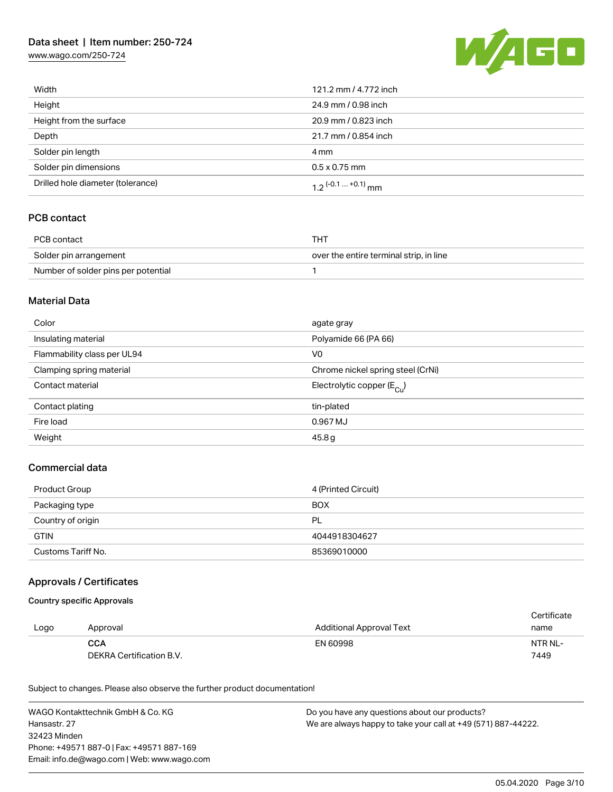[www.wago.com/250-724](http://www.wago.com/250-724)



| Width                             | 121.2 mm / 4.772 inch |
|-----------------------------------|-----------------------|
| Height                            | 24.9 mm / 0.98 inch   |
| Height from the surface           | 20.9 mm / 0.823 inch  |
| Depth                             | 21.7 mm / 0.854 inch  |
| Solder pin length                 | 4 mm                  |
| Solder pin dimensions             | $0.5 \times 0.75$ mm  |
| Drilled hole diameter (tolerance) | 1 2 $(-0.1  +0.1)$ mm |

### PCB contact

| PCB contact                         | THT                                     |
|-------------------------------------|-----------------------------------------|
| Solder pin arrangement              | over the entire terminal strip, in line |
| Number of solder pins per potential |                                         |

#### Material Data

| Color                       | agate gray                            |
|-----------------------------|---------------------------------------|
| Insulating material         | Polyamide 66 (PA 66)                  |
| Flammability class per UL94 | V <sub>0</sub>                        |
| Clamping spring material    | Chrome nickel spring steel (CrNi)     |
| Contact material            | Electrolytic copper $(E_{\text{Cl}})$ |
| Contact plating             | tin-plated                            |
| Fire load                   | 0.967 MJ                              |
| Weight                      | 45.8g                                 |

### Commercial data

| Product Group      | 4 (Printed Circuit) |
|--------------------|---------------------|
| Packaging type     | <b>BOX</b>          |
| Country of origin  | <b>PL</b>           |
| <b>GTIN</b>        | 4044918304627       |
| Customs Tariff No. | 85369010000         |

### Approvals / Certificates

#### Country specific Approvals

|      |                          |                                 | Certificate |
|------|--------------------------|---------------------------------|-------------|
| Logo | Approval                 | <b>Additional Approval Text</b> | name        |
|      | <b>CCA</b>               | EN 60998                        | NTR NL-     |
|      | DEKRA Certification B.V. |                                 | 7449        |

Subject to changes. Please also observe the further product documentation!

WAGO Kontakttechnik GmbH & Co. KG Hansastr. 27 32423 Minden Phone: +49571 887-0 | Fax: +49571 887-169 Email: info.de@wago.com | Web: www.wago.com Do you have any questions about our products? We are always happy to take your call at +49 (571) 887-44222.

05.04.2020 Page 3/10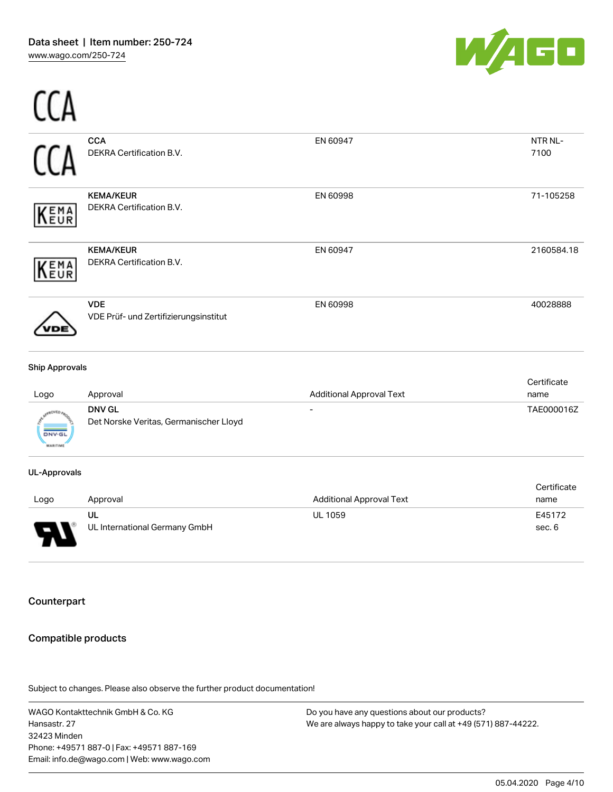

|                          | UL                                                  | <b>UL 1059</b>                  | E45172              |
|--------------------------|-----------------------------------------------------|---------------------------------|---------------------|
| Logo                     | Approval                                            | <b>Additional Approval Text</b> | Certificate<br>name |
| <b>UL-Approvals</b>      |                                                     |                                 |                     |
| DNV-G<br><b>MARITIME</b> | Det Norske Veritas, Germanischer Lloyd              |                                 |                     |
|                          | <b>DNV GL</b>                                       |                                 | TAE000016Z          |
| Logo                     | Approval                                            | <b>Additional Approval Text</b> | Certificate<br>name |
| <b>Ship Approvals</b>    |                                                     |                                 |                     |
|                          | <b>VDE</b><br>VDE Prüf- und Zertifizierungsinstitut | EN 60998                        | 40028888            |
| EMA<br>EUR               | <b>KEMA/KEUR</b><br>DEKRA Certification B.V.        | EN 60947                        | 2160584.18          |
| EMA<br>EUR               | <b>KEMA/KEUR</b><br>DEKRA Certification B.V.        | EN 60998                        | 71-105258           |
|                          | <b>CCA</b><br>DEKRA Certification B.V.              | EN 60947                        | NTR NL-<br>7100     |
|                          |                                                     |                                 |                     |



UL International Germany GmbH

### Counterpart

### Compatible products

Subject to changes. Please also observe the further product documentation!

WAGO Kontakttechnik GmbH & Co. KG Hansastr. 27 32423 Minden Phone: +49571 887-0 | Fax: +49571 887-169 Email: info.de@wago.com | Web: www.wago.com

Do you have any questions about our products? We are always happy to take your call at +49 (571) 887-44222.

sec. 6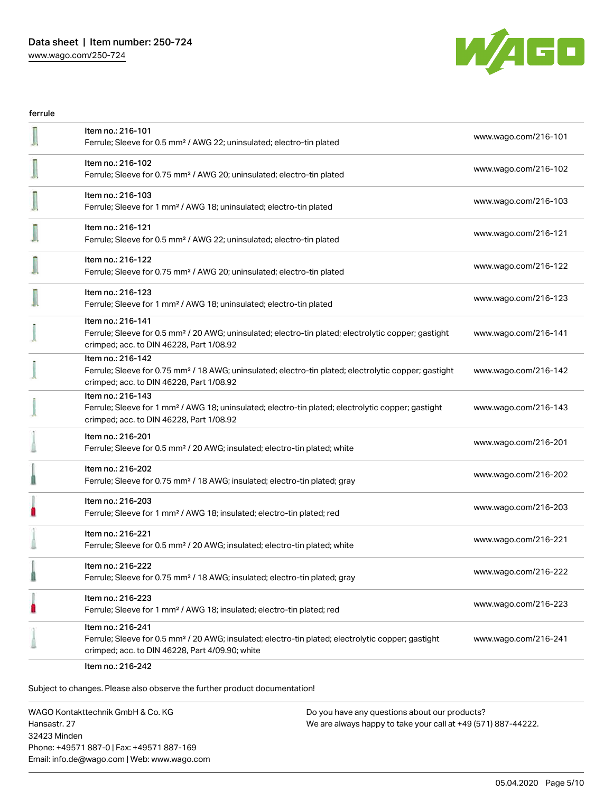

ferrule I Item no.: 216-101 Ferrule; Sleeve for 0.5 mm² / AWG 22; uninsulated; electro-tin plated [www.wago.com/216-101](http://www.wago.com/216-101) Item no.: 216-102 Ferrule; Sleeve for 0.75 mm² / AWG 20; uninsulated; electro-tin plated [www.wago.com/216-102](http://www.wago.com/216-102) Item no.: 216-103 Ferrule; Sleeve for 1 mm² / AWG 18; uninsulated; electro-tin plated [www.wago.com/216-103](http://www.wago.com/216-103) Item no.: 216-121 Ferrule; Sleeve for 0.5 mm<sup>2</sup> / AWG 22; uninsulated; electro-tin plated [www.wago.com/216-121](http://www.wago.com/216-121) www.wago.com/216-121 Item no.: 216-122 Ferrule; Sleeve for 0.75 mm² / AWG 20; uninsulated; electro-tin plated [www.wago.com/216-122](http://www.wago.com/216-122) Item no.: 216-123 Ferrule; Sleeve for 1 mm² / AWG 18; uninsulated; electro-tin plated [www.wago.com/216-123](http://www.wago.com/216-123) Item no.: 216-141 Ferrule; Sleeve for 0.5 mm² / 20 AWG; uninsulated; electro-tin plated; electrolytic copper; gastight [www.wago.com/216-141](http://www.wago.com/216-141) crimped; acc. to DIN 46228, Part 1/08.92 Item no.: 216-142 Ferrule; Sleeve for 0.75 mm² / 18 AWG; uninsulated; electro-tin plated; electrolytic copper; gastight [www.wago.com/216-142](http://www.wago.com/216-142) crimped; acc. to DIN 46228, Part 1/08.92 Item no.: 216-143 Ferrule; Sleeve for 1 mm² / AWG 18; uninsulated; electro-tin plated; electrolytic copper; gastight [www.wago.com/216-143](http://www.wago.com/216-143) crimped; acc. to DIN 46228, Part 1/08.92 Item no.: 216-201 Ferrule; Sleeve for 0.5 mm² / 20 AWG; insulated; electro-tin plated; white [www.wago.com/216-201](http://www.wago.com/216-201) ı Item no.: 216-202 Ferrule; Sleeve for 0.75 mm² / 18 AWG; insulated; electro-tin plated; gray [www.wago.com/216-202](http://www.wago.com/216-202) 0 Item no.: 216-203 Ferrule; Sleeve for 1 mm² / AWG 18; insulated; electro-tin plated; red [www.wago.com/216-203](http://www.wago.com/216-203) Item no.: 216-221 Ferrule; Sleeve for 0.5 mm² / 20 AWG; insulated; electro-tin plated; white [www.wago.com/216-221](http://www.wago.com/216-221) Item no.: 216-222 Ferrule; Sleeve for 0.75 mm² / 18 AWG; insulated; electro-tin plated; gray [www.wago.com/216-222](http://www.wago.com/216-222) Ü Item no.: 216-223 Ferrule; Sleeve for 1 mm² / AWG 18; insulated; electro-tin plated; red [www.wago.com/216-223](http://www.wago.com/216-223) Item no.: 216-241 Ferrule; Sleeve for 0.5 mm² / 20 AWG; insulated; electro-tin plated; electrolytic copper; gastight [www.wago.com/216-241](http://www.wago.com/216-241) crimped; acc. to DIN 46228, Part 4/09.90; white

Item no.: 216-242

Subject to changes. Please also observe the further product documentation!

WAGO Kontakttechnik GmbH & Co. KG Hansastr. 27 32423 Minden Phone: +49571 887-0 | Fax: +49571 887-169 Email: info.de@wago.com | Web: www.wago.com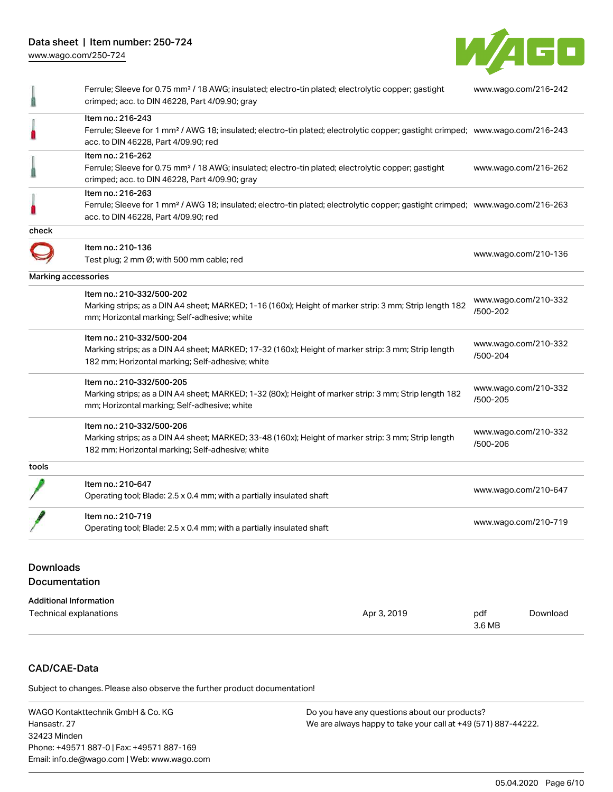

|                     | Ferrule; Sleeve for 0.75 mm <sup>2</sup> / 18 AWG; insulated; electro-tin plated; electrolytic copper; gastight<br>crimped; acc. to DIN 46228, Part 4/09.90; gray                                       | www.wago.com/216-242             |
|---------------------|---------------------------------------------------------------------------------------------------------------------------------------------------------------------------------------------------------|----------------------------------|
|                     | Item no.: 216-243<br>Ferrule; Sleeve for 1 mm <sup>2</sup> / AWG 18; insulated; electro-tin plated; electrolytic copper; gastight crimped; www.wago.com/216-243<br>acc. to DIN 46228, Part 4/09.90; red |                                  |
|                     | Item no.: 216-262<br>Ferrule; Sleeve for 0.75 mm <sup>2</sup> / 18 AWG; insulated; electro-tin plated; electrolytic copper; gastight<br>crimped; acc. to DIN 46228, Part 4/09.90; gray                  | www.wago.com/216-262             |
|                     | Item no.: 216-263<br>Ferrule; Sleeve for 1 mm <sup>2</sup> / AWG 18; insulated; electro-tin plated; electrolytic copper; gastight crimped; www.wago.com/216-263<br>acc. to DIN 46228, Part 4/09.90; red |                                  |
| check               |                                                                                                                                                                                                         |                                  |
|                     | Item no.: 210-136<br>Test plug; 2 mm Ø; with 500 mm cable; red                                                                                                                                          | www.wago.com/210-136             |
| Marking accessories |                                                                                                                                                                                                         |                                  |
|                     | Item no.: 210-332/500-202<br>Marking strips; as a DIN A4 sheet; MARKED; 1-16 (160x); Height of marker strip: 3 mm; Strip length 182<br>mm; Horizontal marking; Self-adhesive; white                     | www.wago.com/210-332<br>/500-202 |
|                     | Item no.: 210-332/500-204<br>Marking strips; as a DIN A4 sheet; MARKED; 17-32 (160x); Height of marker strip: 3 mm; Strip length<br>182 mm; Horizontal marking; Self-adhesive; white                    | www.wago.com/210-332<br>/500-204 |
|                     | Item no.: 210-332/500-205<br>Marking strips; as a DIN A4 sheet; MARKED; 1-32 (80x); Height of marker strip: 3 mm; Strip length 182<br>mm; Horizontal marking; Self-adhesive; white                      | www.wago.com/210-332<br>/500-205 |
|                     | Item no.: 210-332/500-206<br>Marking strips; as a DIN A4 sheet; MARKED; 33-48 (160x); Height of marker strip: 3 mm; Strip length<br>182 mm; Horizontal marking; Self-adhesive; white                    | www.wago.com/210-332<br>/500-206 |
| tools               |                                                                                                                                                                                                         |                                  |
|                     | Item no.: 210-647<br>Operating tool; Blade: 2.5 x 0.4 mm; with a partially insulated shaft                                                                                                              | www.wago.com/210-647             |
|                     | Item no.: 210-719<br>Operating tool; Blade: 2.5 x 0.4 mm; with a partially insulated shaft                                                                                                              | www.wago.com/210-719             |

#### Downloads Documentation

| Additional Information |             |        |          |
|------------------------|-------------|--------|----------|
| Technical explanations | Apr 3, 2019 | pdf    | Download |
|                        |             | 3.6 MB |          |

### CAD/CAE-Data

Subject to changes. Please also observe the further product documentation!

WAGO Kontakttechnik GmbH & Co. KG Hansastr. 27 32423 Minden Phone: +49571 887-0 | Fax: +49571 887-169 Email: info.de@wago.com | Web: www.wago.com Do you have any questions about our products? We are always happy to take your call at +49 (571) 887-44222.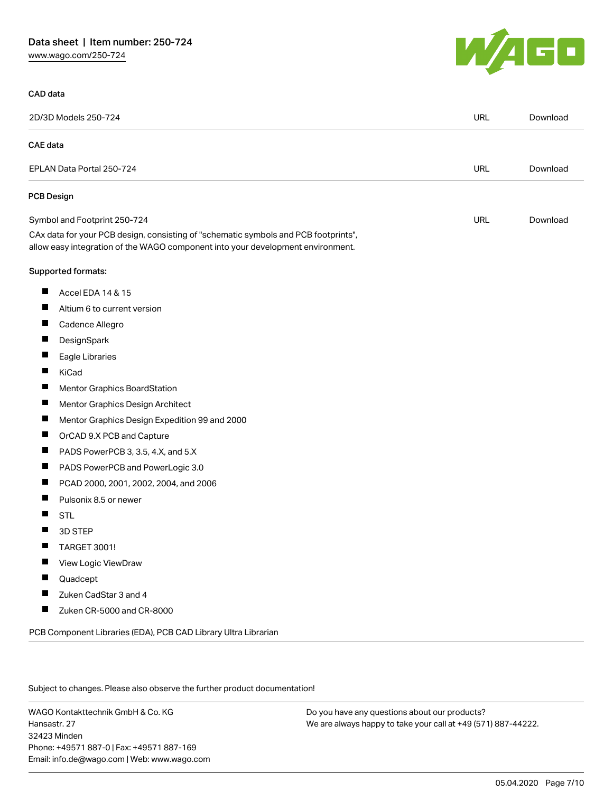[www.wago.com/250-724](http://www.wago.com/250-724)

### CAD data



|                 | 2D/3D Models 250-724                                                                                                                                                   | <b>URL</b> | Download |
|-----------------|------------------------------------------------------------------------------------------------------------------------------------------------------------------------|------------|----------|
| <b>CAE</b> data |                                                                                                                                                                        |            |          |
|                 | EPLAN Data Portal 250-724                                                                                                                                              | <b>URL</b> | Download |
|                 | <b>PCB Design</b>                                                                                                                                                      |            |          |
|                 | Symbol and Footprint 250-724                                                                                                                                           | <b>URL</b> | Download |
|                 | CAx data for your PCB design, consisting of "schematic symbols and PCB footprints",<br>allow easy integration of the WAGO component into your development environment. |            |          |
|                 | Supported formats:                                                                                                                                                     |            |          |
| Ц               | Accel EDA 14 & 15                                                                                                                                                      |            |          |
| П               | Altium 6 to current version                                                                                                                                            |            |          |
| ш               | Cadence Allegro                                                                                                                                                        |            |          |
| H               | DesignSpark                                                                                                                                                            |            |          |
| П               | Eagle Libraries                                                                                                                                                        |            |          |
| ш               | KiCad                                                                                                                                                                  |            |          |
| ш               | Mentor Graphics BoardStation                                                                                                                                           |            |          |
| ш               | Mentor Graphics Design Architect                                                                                                                                       |            |          |
| ш               | Mentor Graphics Design Expedition 99 and 2000                                                                                                                          |            |          |
| ш               | OrCAD 9.X PCB and Capture                                                                                                                                              |            |          |
| $\blacksquare$  | PADS PowerPCB 3, 3.5, 4.X, and 5.X                                                                                                                                     |            |          |
| ш               | PADS PowerPCB and PowerLogic 3.0                                                                                                                                       |            |          |
| ш               | PCAD 2000, 2001, 2002, 2004, and 2006                                                                                                                                  |            |          |
| $\blacksquare$  | Pulsonix 8.5 or newer                                                                                                                                                  |            |          |
| H               | <b>STL</b>                                                                                                                                                             |            |          |
| П               | 3D STEP                                                                                                                                                                |            |          |
| $\blacksquare$  | <b>TARGET 3001!</b>                                                                                                                                                    |            |          |
| $\blacksquare$  | View Logic ViewDraw                                                                                                                                                    |            |          |
|                 | Quadcept                                                                                                                                                               |            |          |
|                 | Zuken CadStar 3 and 4                                                                                                                                                  |            |          |
| H               | Zuken CR-5000 and CR-8000                                                                                                                                              |            |          |
|                 | PCB Component Libraries (EDA), PCB CAD Library Ultra Librarian                                                                                                         |            |          |

Subject to changes. Please also observe the further product documentation!

WAGO Kontakttechnik GmbH & Co. KG Hansastr. 27 32423 Minden Phone: +49571 887-0 | Fax: +49571 887-169 Email: info.de@wago.com | Web: www.wago.com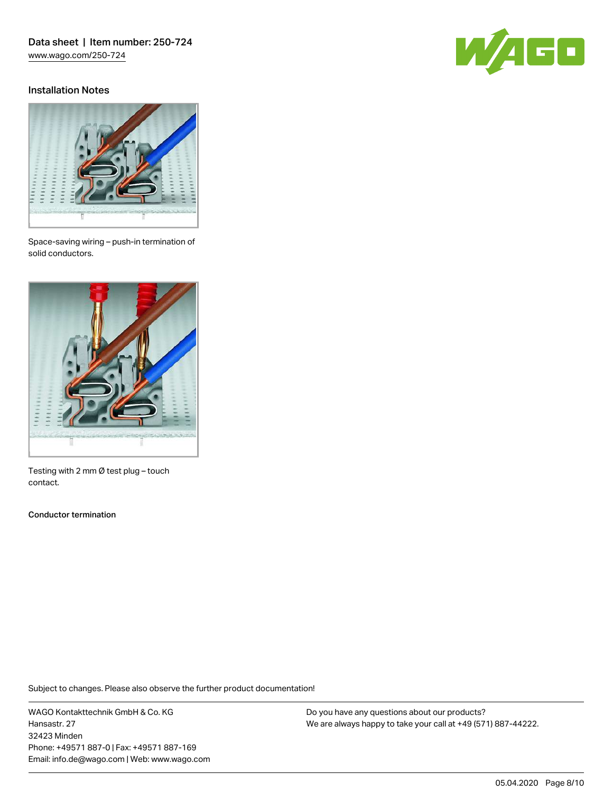### Installation Notes





Space-saving wiring – push-in termination of solid conductors.



Testing with 2 mm Ø test plug – touch contact.

Conductor termination

Subject to changes. Please also observe the further product documentation!

WAGO Kontakttechnik GmbH & Co. KG Hansastr. 27 32423 Minden Phone: +49571 887-0 | Fax: +49571 887-169 Email: info.de@wago.com | Web: www.wago.com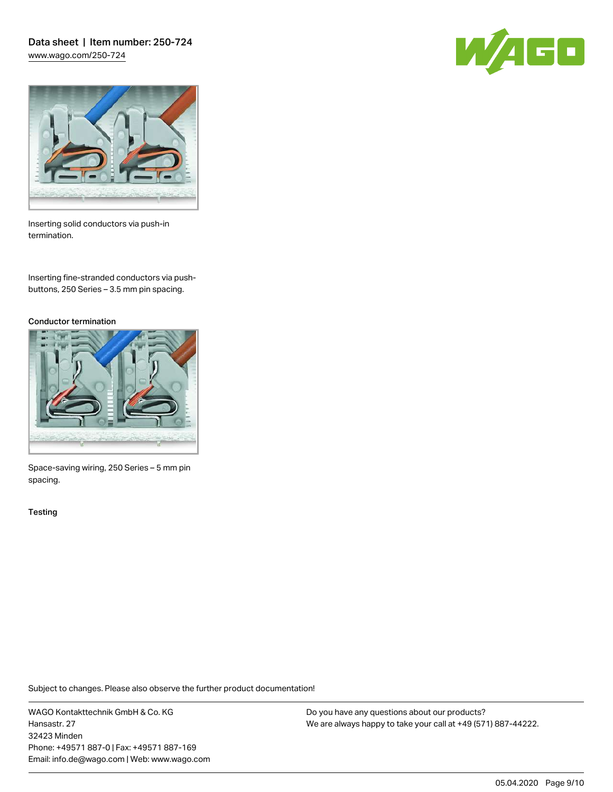Data sheet | Item number: 250-724 [www.wago.com/250-724](http://www.wago.com/250-724)





Inserting solid conductors via push-in termination.

Inserting fine-stranded conductors via pushbuttons, 250 Series – 3.5 mm pin spacing.

#### Conductor termination



Space-saving wiring, 250 Series – 5 mm pin spacing.

**Testing** 

Subject to changes. Please also observe the further product documentation!

WAGO Kontakttechnik GmbH & Co. KG Hansastr. 27 32423 Minden Phone: +49571 887-0 | Fax: +49571 887-169 Email: info.de@wago.com | Web: www.wago.com